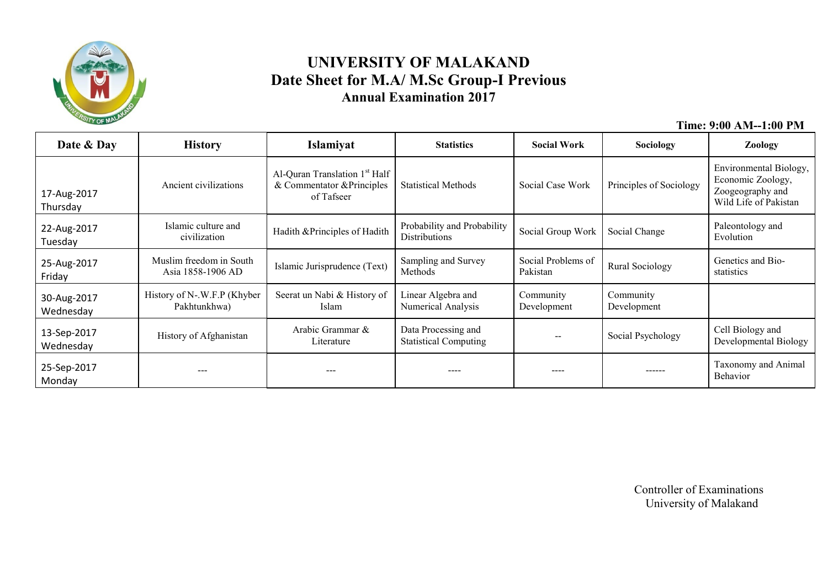

### **UNIVERSITY OF MALAKAND Date Sheet for M.A/ M.Sc Group-I Previous Annual Examination 2017**

 **Time: 9:00 AM--1:00 PM**

| Date & Day               | <b>History</b>                               | Islamiyat                                                                             | <b>Statistics</b><br><b>Social Work</b>             |                                | Sociology                | <b>Zoology</b>                                                                           |
|--------------------------|----------------------------------------------|---------------------------------------------------------------------------------------|-----------------------------------------------------|--------------------------------|--------------------------|------------------------------------------------------------------------------------------|
| 17-Aug-2017<br>Thursday  | Ancient civilizations                        | Al-Quran Translation 1 <sup>st</sup> Half<br>& Commentator & Principles<br>of Tafseer | <b>Statistical Methods</b>                          | Social Case Work               | Principles of Sociology  | Environmental Biology,<br>Economic Zoology,<br>Zoogeography and<br>Wild Life of Pakistan |
| 22-Aug-2017<br>Tuesday   | Islamic culture and<br>civilization          | Hadith & Principles of Hadith                                                         | Probability and Probability<br><b>Distributions</b> | Social Group Work              | Social Change            | Paleontology and<br>Evolution                                                            |
| 25-Aug-2017<br>Friday    | Muslim freedom in South<br>Asia 1858-1906 AD | Islamic Jurisprudence (Text)                                                          | Sampling and Survey<br>Methods                      | Social Problems of<br>Pakistan | <b>Rural Sociology</b>   | Genetics and Bio-<br>statistics                                                          |
| 30-Aug-2017<br>Wednesday | History of N-.W.F.P (Khyber<br>Pakhtunkhwa)  | Seerat un Nabi & History of<br>Islam                                                  | Linear Algebra and<br>Numerical Analysis            | Community<br>Development       | Community<br>Development |                                                                                          |
| 13-Sep-2017<br>Wednesday | History of Afghanistan                       | Arabic Grammar &<br>Literature                                                        | Data Processing and<br><b>Statistical Computing</b> |                                | Social Psychology        | Cell Biology and<br>Developmental Biology                                                |
| 25-Sep-2017<br>Monday    |                                              |                                                                                       | ----                                                |                                | ------                   | Taxonomy and Animal<br>Behavior                                                          |

 Controller of Examinations University of Malakand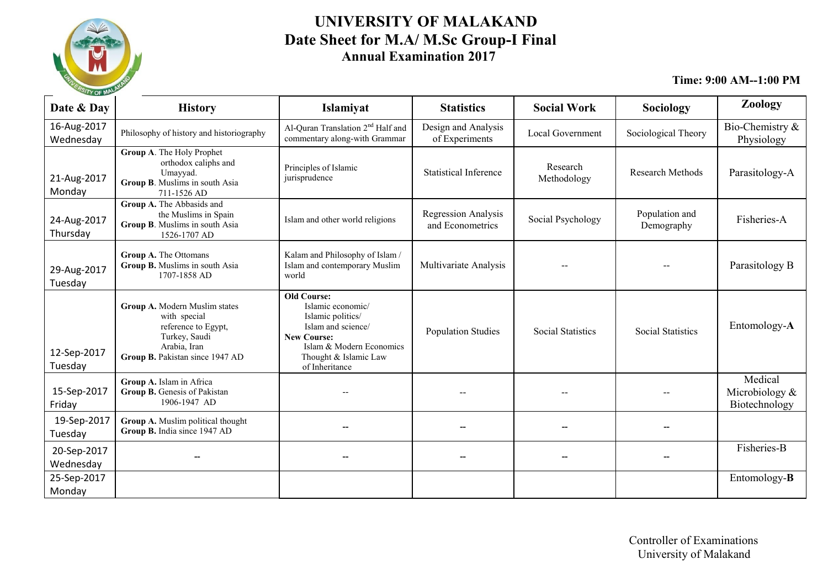

#### **UNIVERSITY OF MALAKAND Date Sheet for M.A/ M.Sc Group-I Final Annual Examination 2017**

| $\sim$ or $\sim$         |                                                                                                                                          |                                                                                                                                                                                 |                                                |                          |                              |                                            |
|--------------------------|------------------------------------------------------------------------------------------------------------------------------------------|---------------------------------------------------------------------------------------------------------------------------------------------------------------------------------|------------------------------------------------|--------------------------|------------------------------|--------------------------------------------|
| Date & Day               | <b>History</b>                                                                                                                           | Islamiyat                                                                                                                                                                       | <b>Statistics</b>                              | <b>Social Work</b>       | Sociology                    | Zoology                                    |
| 16-Aug-2017<br>Wednesday | Philosophy of history and historiography                                                                                                 | Al-Quran Translation 2 <sup>nd</sup> Half and<br>commentary along-with Grammar                                                                                                  | Design and Analysis<br>of Experiments          | <b>Local Government</b>  | Sociological Theory          | Bio-Chemistry &<br>Physiology              |
| 21-Aug-2017<br>Monday    | Group A. The Holy Prophet<br>orthodox caliphs and<br>Umayyad.<br>Group B. Muslims in south Asia<br>711-1526 AD                           | Principles of Islamic<br>jurisprudence                                                                                                                                          | <b>Statistical Inference</b>                   | Research<br>Methodology  | <b>Research Methods</b>      | Parasitology-A                             |
| 24-Aug-2017<br>Thursday  | Group A. The Abbasids and<br>the Muslims in Spain<br>Group B. Muslims in south Asia<br>1526-1707 AD                                      | Islam and other world religions                                                                                                                                                 | <b>Regression Analysis</b><br>and Econometrics | Social Psychology        | Population and<br>Demography | Fisheries-A                                |
| 29-Aug-2017<br>Tuesday   | Group A. The Ottomans<br>Group B. Muslims in south Asia<br>1707-1858 AD                                                                  | Kalam and Philosophy of Islam /<br>Islam and contemporary Muslim<br>world                                                                                                       | Multivariate Analysis                          |                          |                              | Parasitology B                             |
| 12-Sep-2017<br>Tuesday   | Group A. Modern Muslim states<br>with special<br>reference to Egypt,<br>Turkey, Saudi<br>Arabia, Iran<br>Group B. Pakistan since 1947 AD | <b>Old Course:</b><br>Islamic economic/<br>Islamic politics/<br>Islam and science/<br><b>New Course:</b><br>Islam & Modern Economics<br>Thought & Islamic Law<br>of Inheritance | <b>Population Studies</b>                      | <b>Social Statistics</b> | <b>Social Statistics</b>     | Entomology-A                               |
| 15-Sep-2017<br>Friday    | Group A. Islam in Africa<br>Group B. Genesis of Pakistan<br>1906-1947 AD                                                                 |                                                                                                                                                                                 |                                                |                          |                              | Medical<br>Microbiology &<br>Biotechnology |
| 19-Sep-2017<br>Tuesday   | Group A. Muslim political thought<br>Group B. India since 1947 AD                                                                        |                                                                                                                                                                                 |                                                |                          |                              |                                            |
| 20-Sep-2017<br>Wednesday |                                                                                                                                          |                                                                                                                                                                                 | --                                             |                          | --                           | Fisheries-B                                |
| 25-Sep-2017<br>Monday    |                                                                                                                                          |                                                                                                                                                                                 |                                                |                          |                              | Entomology- <b>B</b>                       |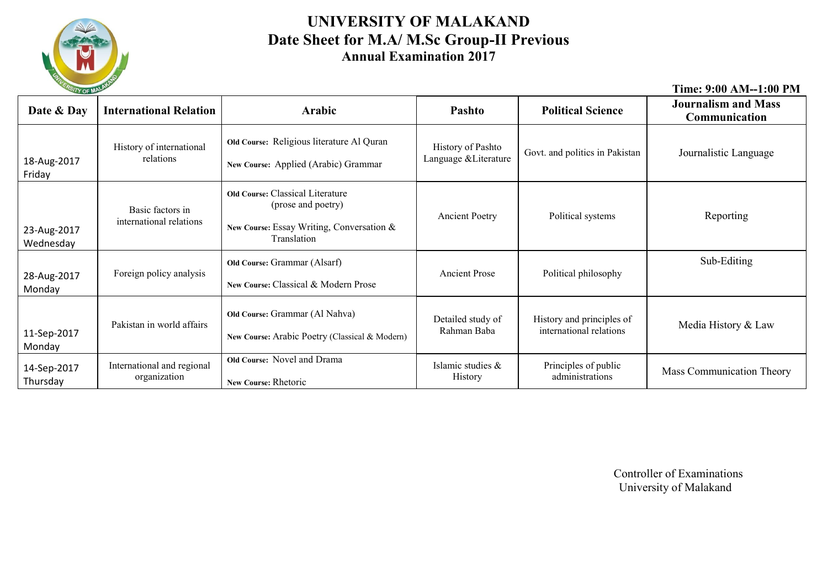

#### **UNIVERSITY OF MALAKAND Date Sheet for M.A/ M.Sc Group-II Previous Annual Examination 2017**

| ERSITY OF MAL            |                                             |                                                                                                                           |                                            |                                                      | Time: 9:00 AM--1:00 PM                      |
|--------------------------|---------------------------------------------|---------------------------------------------------------------------------------------------------------------------------|--------------------------------------------|------------------------------------------------------|---------------------------------------------|
| Date & Day               | <b>International Relation</b>               | Arabic                                                                                                                    | Pashto                                     | <b>Political Science</b>                             | <b>Journalism and Mass</b><br>Communication |
| 18-Aug-2017<br>Friday    | History of international<br>relations       | Old Course: Religious literature Al Quran<br>New Course: Applied (Arabic) Grammar                                         | History of Pashto<br>Language & Literature | Govt. and politics in Pakistan                       | Journalistic Language                       |
| 23-Aug-2017<br>Wednesday | Basic factors in<br>international relations | <b>Old Course: Classical Literature</b><br>(prose and poetry)<br>New Course: Essay Writing, Conversation &<br>Translation | <b>Ancient Poetry</b>                      | Political systems                                    | Reporting                                   |
| 28-Aug-2017<br>Monday    | Foreign policy analysis                     | Old Course: Grammar (Alsarf)<br>New Course: Classical & Modern Prose                                                      | <b>Ancient Prose</b>                       | Political philosophy                                 | Sub-Editing                                 |
| 11-Sep-2017<br>Monday    | Pakistan in world affairs                   | Old Course: Grammar (Al Nahva)<br>New Course: Arabic Poetry (Classical & Modern)                                          | Detailed study of<br>Rahman Baba           | History and principles of<br>international relations | Media History & Law                         |
| 14-Sep-2017<br>Thursday  | International and regional<br>organization  | Old Course: Novel and Drama<br>New Course: Rhetoric                                                                       | Islamic studies &<br>History               | Principles of public<br>administrations              | <b>Mass Communication Theory</b>            |

 Controller of Examinations University of Malakand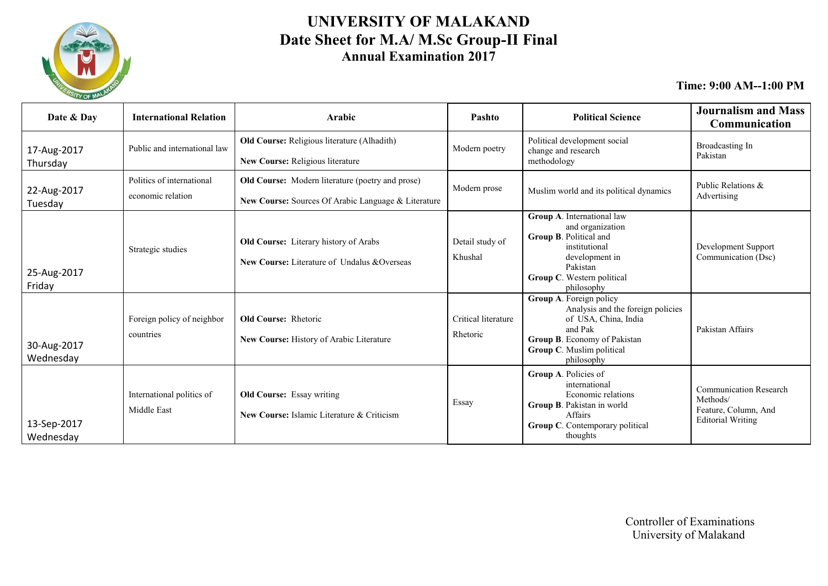

### **UNIVERSITY OF MALAKAND Date Sheet for M.A/ M.Sc Group-II Final Annual Examination 2017**

| Date & Day               | <b>International Relation</b>                  | Arabic                                                                                                  | Pashto                          | <b>Political Science</b>                                                                                                                                                          | <b>Journalism and Mass</b><br>Communication                                                   |
|--------------------------|------------------------------------------------|---------------------------------------------------------------------------------------------------------|---------------------------------|-----------------------------------------------------------------------------------------------------------------------------------------------------------------------------------|-----------------------------------------------------------------------------------------------|
| 17-Aug-2017<br>Thursday  | Public and international law                   | Old Course: Religious literature (Alhadith)<br>New Course: Religious literature                         | Modern poetry                   | Political development social<br>change and research<br>methodology                                                                                                                | Broadcasting In<br>Pakistan                                                                   |
| 22-Aug-2017<br>Tuesday   | Politics of international<br>economic relation | Old Course: Modern literature (poetry and prose)<br>New Course: Sources Of Arabic Language & Literature | Modern prose                    | Muslim world and its political dynamics                                                                                                                                           | Public Relations &<br>Advertising                                                             |
| 25-Aug-2017<br>Friday    | Strategic studies                              | Old Course: Literary history of Arabs<br>New Course: Literature of Undalus &Overseas                    | Detail study of<br>Khushal      | Group A. International law<br>and organization<br>Group B. Political and<br>institutional<br>development in<br>Pakistan<br>Group C. Western political<br>philosophy               | Development Support<br>Communication (Dsc)                                                    |
| 30-Aug-2017<br>Wednesday | Foreign policy of neighbor<br>countries        | <b>Old Course: Rhetoric</b><br>New Course: History of Arabic Literature                                 | Critical literature<br>Rhetoric | Group A. Foreign policy<br>Analysis and the foreign policies<br>of USA, China, India<br>and Pak<br><b>Group B.</b> Economy of Pakistan<br>Group C. Muslim political<br>philosophy | Pakistan Affairs                                                                              |
| 13-Sep-2017<br>Wednesday | International politics of<br>Middle East       | <b>Old Course:</b> Essay writing<br>New Course: Islamic Literature & Criticism                          | Essay                           | Group A. Policies of<br>international<br>Economic relations<br>Group B. Pakistan in world<br>Affairs<br>Group C. Contemporary political<br>thoughts                               | <b>Communication Research</b><br>Methods/<br>Feature, Column, And<br><b>Editorial Writing</b> |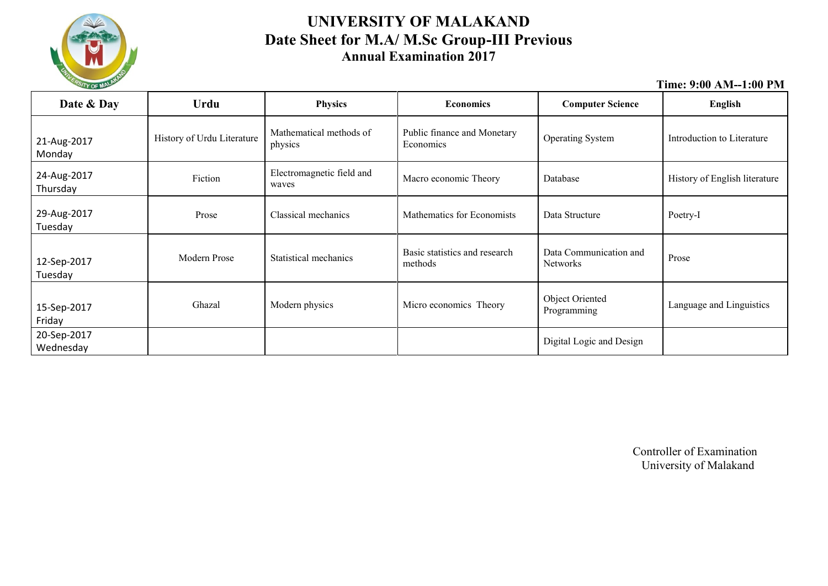

#### **UNIVERSITY OF MALAKAND Date Sheet for M.A/ M.Sc Group-III Previous Annual Examination 2017**

|--|

| Date & Day               | Urdu                       | <b>Physics</b>                     | <b>Economics</b>                         | <b>Computer Science</b>                   | <b>English</b>                |
|--------------------------|----------------------------|------------------------------------|------------------------------------------|-------------------------------------------|-------------------------------|
| 21-Aug-2017<br>Monday    | History of Urdu Literature | Mathematical methods of<br>physics | Public finance and Monetary<br>Economics | <b>Operating System</b>                   | Introduction to Literature    |
| 24-Aug-2017<br>Thursday  | Fiction                    | Electromagnetic field and<br>waves | Macro economic Theory                    | Database                                  | History of English literature |
| 29-Aug-2017<br>Tuesday   | Prose                      | Classical mechanics                | Mathematics for Economists               | Data Structure                            | Poetry-I                      |
| 12-Sep-2017<br>Tuesday   | Modern Prose               | Statistical mechanics              | Basic statistics and research<br>methods | Data Communication and<br><b>Networks</b> | Prose                         |
| 15-Sep-2017<br>Friday    | Ghazal                     | Modern physics                     | Micro economics Theory                   | Object Oriented<br>Programming            | Language and Linguistics      |
| 20-Sep-2017<br>Wednesday |                            |                                    |                                          | Digital Logic and Design                  |                               |

Controller of Examination University of Malakand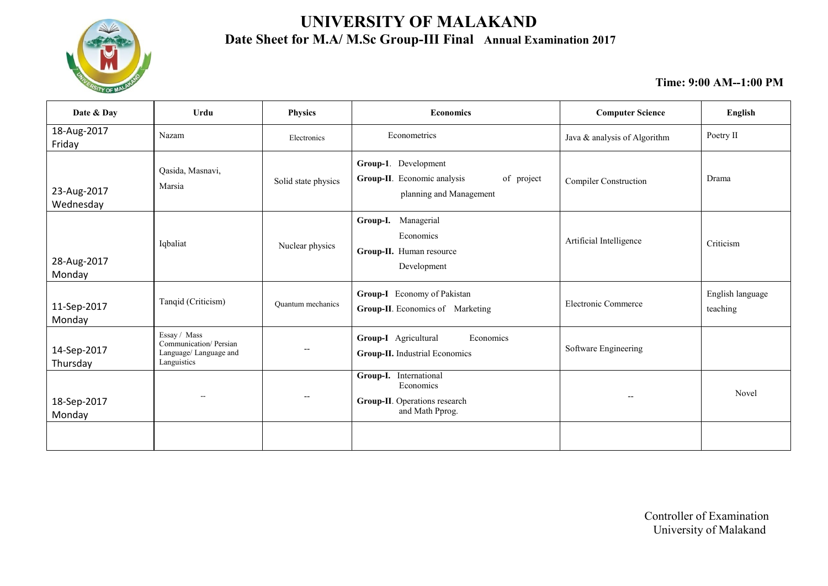

## **UNIVERSITY OF MALAKAND Date Sheet for M.A/ M.Sc Group-III Final Annual Examination 2017**

| Date & Day               | Urdu                                                                           | <b>Physics</b>           | <b>Economics</b>                                                                             | <b>Computer Science</b>      | English                      |
|--------------------------|--------------------------------------------------------------------------------|--------------------------|----------------------------------------------------------------------------------------------|------------------------------|------------------------------|
| 18-Aug-2017<br>Friday    | Nazam                                                                          | Electronics              | Econometrics                                                                                 | Java & analysis of Algorithm | Poetry II                    |
| 23-Aug-2017<br>Wednesday | Qasida, Masnavi,<br>Marsia                                                     | Solid state physics      | Group-1. Development<br>Group-II. Economic analysis<br>of project<br>planning and Management | <b>Compiler Construction</b> | Drama                        |
| 28-Aug-2017<br>Monday    | Iqbaliat                                                                       | Nuclear physics          | Group-I. Managerial<br>Economics<br>Group-II. Human resource<br>Development                  | Artificial Intelligence      | Criticism                    |
| 11-Sep-2017<br>Monday    | Tanqid (Criticism)                                                             | <b>Ouantum</b> mechanics | Group-I Economy of Pakistan<br>Group-II. Economics of Marketing                              | Electronic Commerce          | English language<br>teaching |
| 14-Sep-2017<br>Thursday  | Essay / Mass<br>Communication/Persian<br>Language/ Language and<br>Languistics |                          | Group-I Agricultural<br>Economics<br>Group-II. Industrial Economics                          | Software Engineering         |                              |
| 18-Sep-2017<br>Monday    | $\sim$                                                                         |                          | Group-I. International<br>Economics<br>Group-II. Operations research<br>and Math Pprog.      | $\overline{\phantom{a}}$     | Novel                        |
|                          |                                                                                |                          |                                                                                              |                              |                              |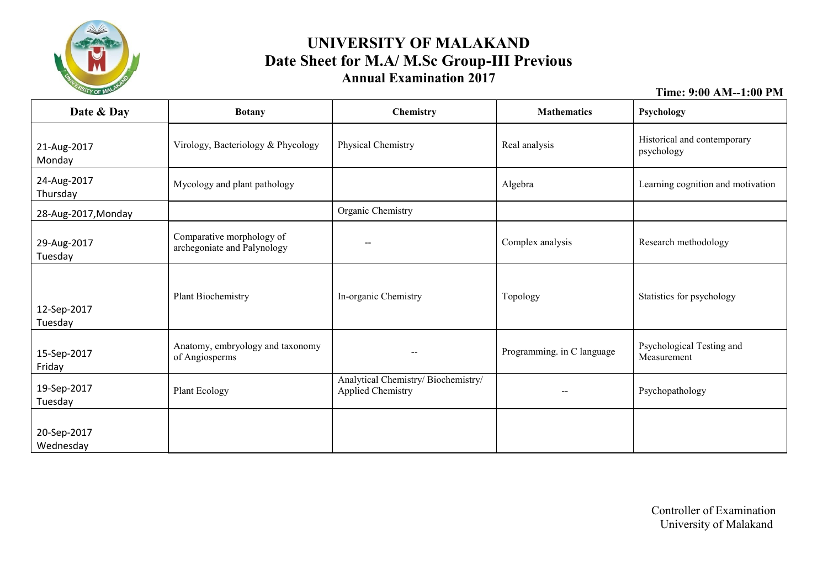

#### **UNIVERSITY OF MALAKAND Date Sheet for M.A/ M.Sc Group-III Previous Annual Examination 2017**

| Date & Day               | <b>Botany</b>                                            | Chemistry                                                       | <b>Mathematics</b>         | Psychology                                |
|--------------------------|----------------------------------------------------------|-----------------------------------------------------------------|----------------------------|-------------------------------------------|
| 21-Aug-2017<br>Monday    | Virology, Bacteriology & Phycology                       | Physical Chemistry                                              | Real analysis              | Historical and contemporary<br>psychology |
| 24-Aug-2017<br>Thursday  | Mycology and plant pathology                             |                                                                 | Algebra                    | Learning cognition and motivation         |
| 28-Aug-2017, Monday      |                                                          | Organic Chemistry                                               |                            |                                           |
| 29-Aug-2017<br>Tuesday   | Comparative morphology of<br>archegoniate and Palynology | $- -$                                                           | Complex analysis           | Research methodology                      |
| 12-Sep-2017<br>Tuesday   | Plant Biochemistry                                       | In-organic Chemistry                                            | Topology                   | Statistics for psychology                 |
| 15-Sep-2017<br>Friday    | Anatomy, embryology and taxonomy<br>of Angiosperms       | $\overline{\phantom{m}}$                                        | Programming. in C language | Psychological Testing and<br>Measurement  |
| 19-Sep-2017<br>Tuesday   | Plant Ecology                                            | Analytical Chemistry/ Biochemistry/<br><b>Applied Chemistry</b> |                            | Psychopathology                           |
| 20-Sep-2017<br>Wednesday |                                                          |                                                                 |                            |                                           |